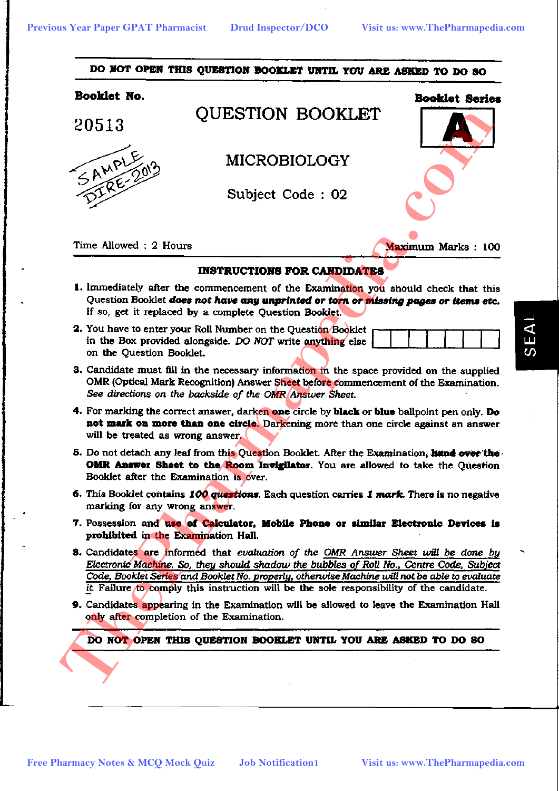

- 
- -
- 
- 
- 
- 
- 
- 
-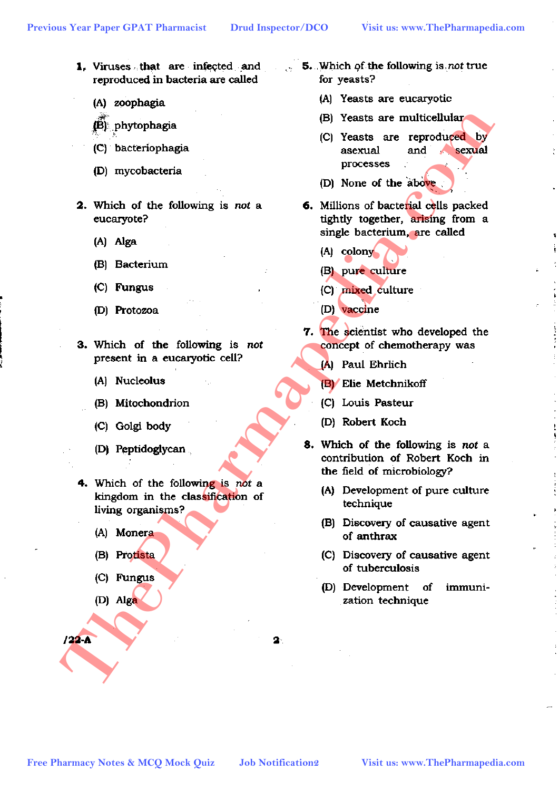- reproduced in bacteria are called
	- (A) zoophagia
	-
	-
	-
- -
	-
	-
	-
- -
	-
	-
	-
- -
	-
	-
	-
- 
- 1. Viruses that are infected and 5. Which of the following is not true for yeasts?
	- (A) Yeasts are eucaryotic
	-
	-
	-
- **Free Pharmacy Notes & MCQ Motel Quiz CD** beaches a reproduced and the stock and the stock and the stock and the stock and computer and computer of  $\alpha$  and  $\beta$  beaches of the stock and computer (c) Parmacy (d) Algo<br> **E** 
	-
	-
	-
	-
	- -
		-
		-
		-
	- -
		-
		-
		-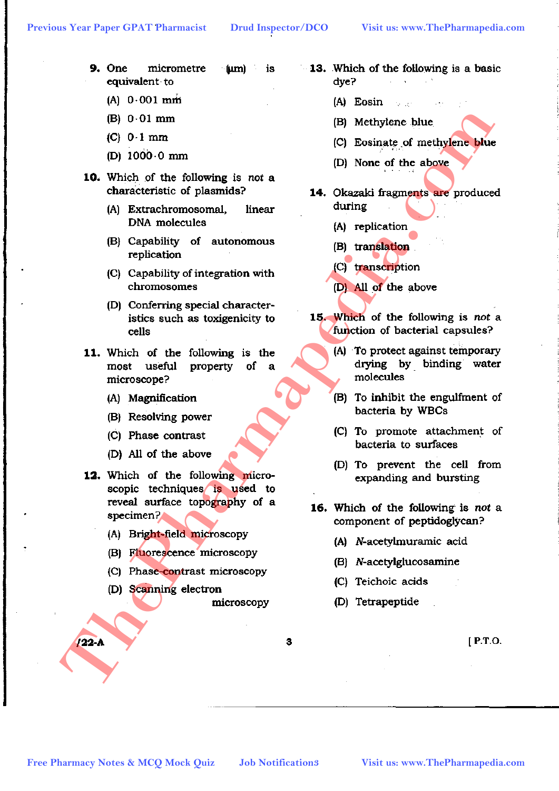- **9.** One micrometre  $(nm)$ is equivalent to
	- $(A) 0.001 \text{ min}$
	-
	-
	-
- -
	-
	-
	-
- -
	-
	-
	-
- **Free Pharmacy Notes & McQ Mock Quiz Free Pharmacy Notes & MCQ Mock Quiz Job Notifications**<br> **Free Pharmaceus Constructions**<br> **Free Pharmaceus Constructions**<br> **Free Pharmaceus Constructions**<br> **Free Pharmaceus Construct** 
	-
	-
	-
	-

- **13.** Which of the following is a basic dve?
	- $(A)$  Eosin
	-
	-
	-
	- -
		-
		-
		-
	- -
		-
		-
		-
	- -
		-
		-
		-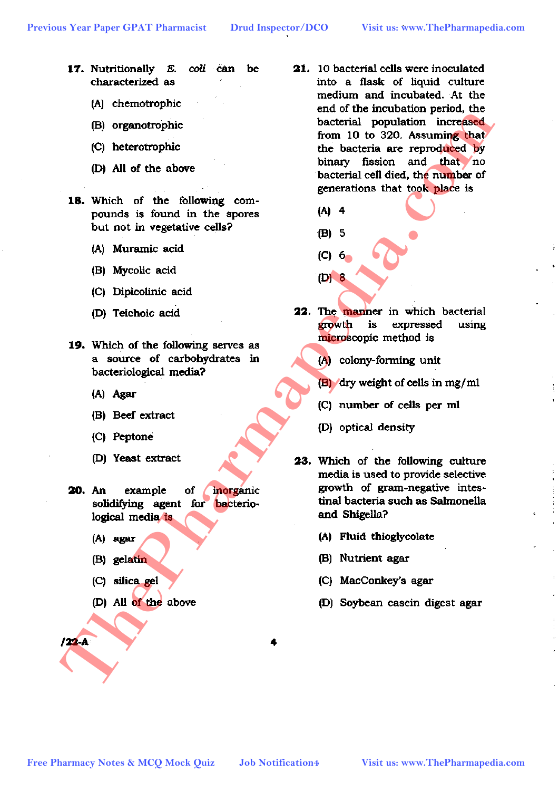- 17. Nutritionally E. coli can be characterized as
	- (A) chemotrophic
	-
	-
	-
- -
	-
	-
	-
- -
	-
	-
	-
- -
	-
	-
	-

- 21. 10 bacterial cells were inoculated into a flask of liquid culture medium and incubated. At the **Free Pharmacy Notes & MCQ Mock Quiz Job Notification**<br> **Free Pharmacy Notes & MCQ Mock Quiz Job Notification**<br> **Free Pharmacy Notes & MCQ Mock Quiz Job Notification**<br> **Free Pharmacy Notes & MCQ Mock Quiz Job Notif** 
	-
	-
	-
	- -
		-
		-
		-
	- -
		-
		-
		-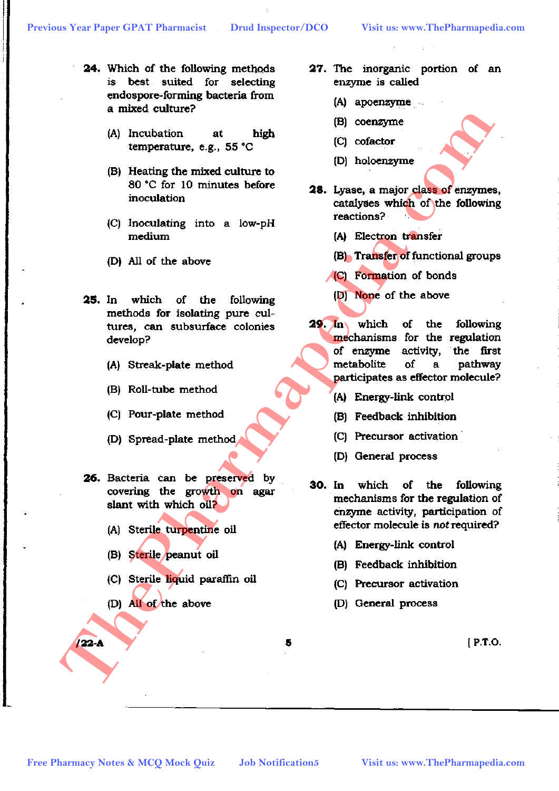- 24. Which of the following methods is best suited for selecting endospore-forming bacteria from
	-
	-
	-
	-
- -
	-
	-
	-
- -
	-
	-
	-

- 27. The inorganic portion of an enzyme is called
	- (A) apoenzyme
	-
	-
	-
- -
	-
	-
	-
- Free Pharmacy Note Assets Content of the Notice Content of the School Content of the School Content of the School Content of the School Content of the School Content of the School Content of the School Content of the Schoo
	-
	-
	-
	-
	- -
		-
		-
		-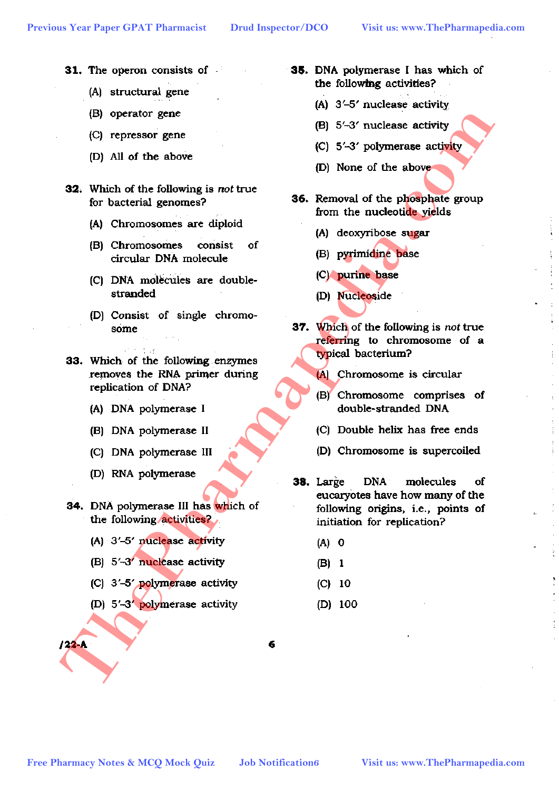- 31. The operon consists of
	- (A) structural gene
	-
	-
	-
- -
	-
	-
	-
- -
	-
	-
	-
- -
	-
	-
	-
- 35. DNA polymerase I has which of the following activities?
	-
	-
	-
	-
	- -
		-
		-
		-
	- -
		-
		-
		-
- **Free Pharmacy Notes & MCQ Mock Quiz Free Pharmacy Notes & MCQ Mock Quiz Job Notification C**<br> **Free Pharmacy Notes & MCQ Mock Quiz Job Notificationes**<br> **Free Pharmacy Notes & MCQ Mock Quiz Job Notificationes**<br> **Fr** 
	-
	-
	-
	-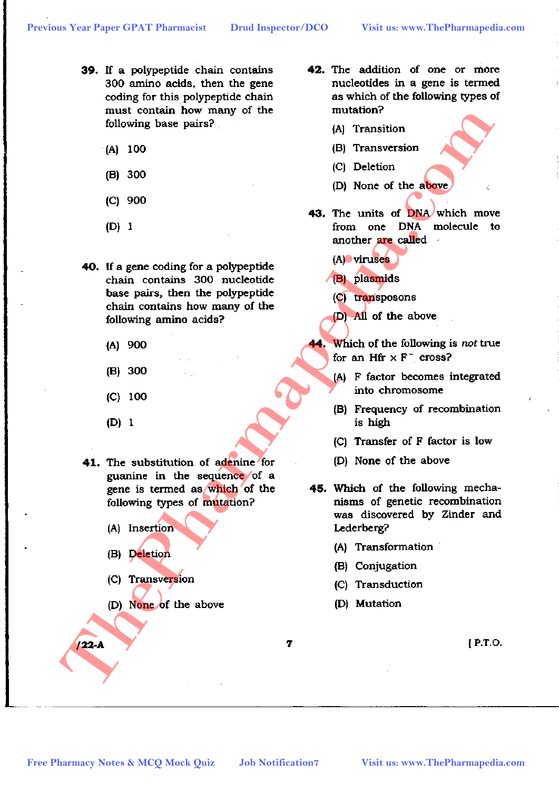- 39. If a polypeptide chain contains 300 amino acids, then the gene coding for this polypeptide chain
	-
	-
	-
	-
- Free Pharmacy Notes & MCQ Mock Quiz Job Notification **Free Pharmacy Notes & MCQ Mock Quiz** Job Notification **Job Notification**<br> **Free Pharmacy Notes & MCQ Mock Quiz** Job Notification **Visit use the absolution of the materi** 
	-
	-
	-
	-
	- -
		-
		-
		-
	-
- 42. The addition of one or more nucleotides in a gene is termed as which of the following types of
	-
	-
	-
	-
- -
	-
	-
	-

- 
- 
- 
- 
- -
	-
	-
	-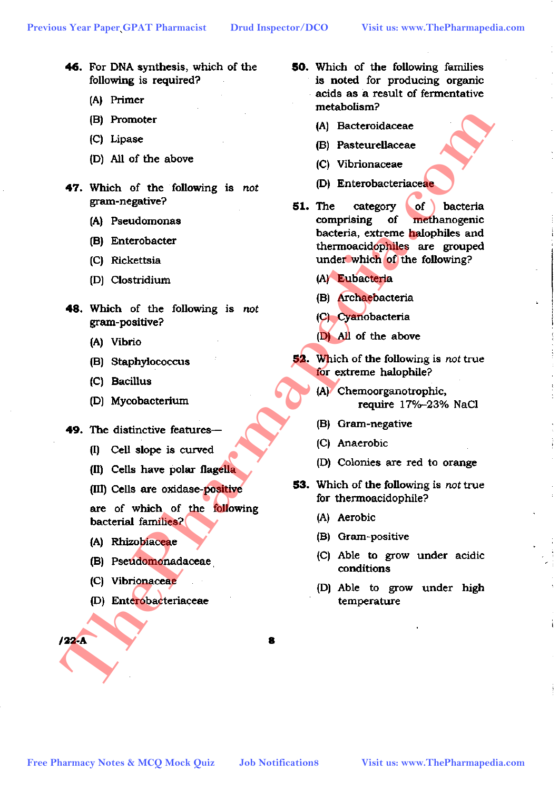- 46. For DNA synthesis, which of the following is required?
	- (A) Primer
	-
	-
	-
- -
	-
	-
	-
- -
	-
	-
	-
- -
	-
	-

- 
- 
- 
- 

- 50. Which of the following families is noted for producing organic acids as a result of fermentative
	-
	-
	-
	-
- **FREE Pharmacy Notes & MCQ Moreover CONSERVING CONSERVING CONSERVING CONSERVING CONSERVING CONSERVING CONSERVING CONSERVING CONSERVING CONSERVING CONSERVING CONSERVING CONSERVING CONSERVING CONSERVING CONSERVING CONSERVING** 
	-
	-
	-
	-
	- -
		-
		-
		-
	- -
		-
		-
		-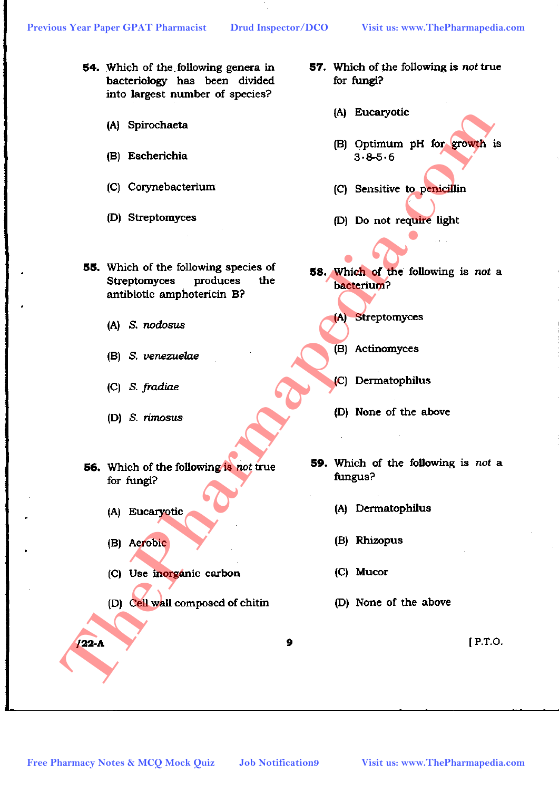- 54. Which of the following genera in bacteriology has been divided into largest number of species?
	-
	-
	-
	-
- **Free Pharmacy Notes & MCQ Mock Quiz** Job Notifications<br> **Free Pharmacy Notes & MCQ Mock Quiz** Job Notifications<br> **Free Pharmacy Notes & MCQ Mock Quiz** Job Notifications<br> **Free Pharmacy Notes & MCQ Mock Quiz** Job Notificat
	-
	-
	-
	-
	- -
		-
		-
		-

- 57. Which of the following is not true for fungi?
	-
	-
	-
	-
- -
	-
	-
	-
- -
	-
	-
	-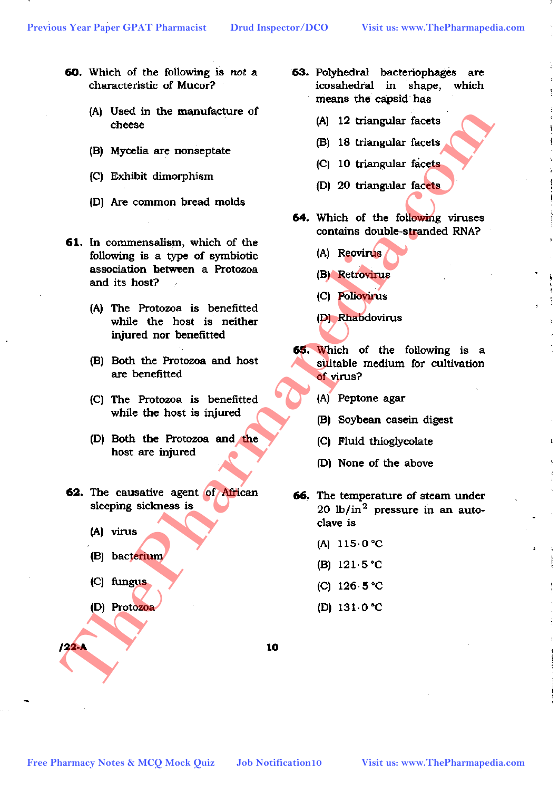- 60. Which of the following is not a characteristic of Mucor?
	-
	-
	-
	-
- **Free Pharmacy Notes and Section 2012 Free Pharmacy Notes & MCQ Mock Quiz Job Notification**<br> **Free Pharmaceutic Content and Section**<br> **Free Pharmaceutic Content and Section**<br> **Free Pharmaceutic Content and Section**<br> **F** 
	-
	-
	-
	-
	- -
		-
		-
		-

63. Polyhedral bacteriophages are icosahedral in shape, which means the capsid has

- 
- 
- 
- 
- -
	-
	-
	-
- -
	-
	-
	-
- -
	-
	-
	-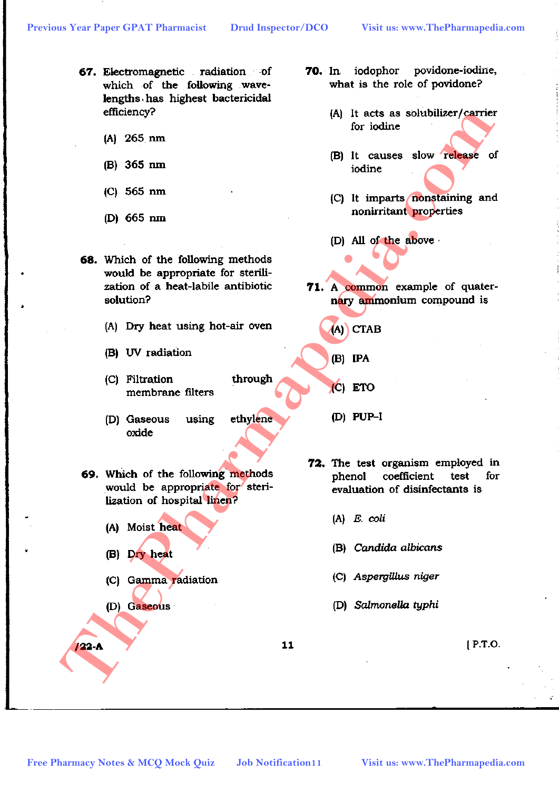- 67. Electromagnetic radiation of which of the following wavelengths has highest bactericidal
	-
	-
	-
	-
- **Free Pharmacy Notes & MCQ Motek Quiz** *Job* Notification11<br>
The Pharmac Note & MCQ Mock Quiz<sup>2</sup> *Dotation*<br> **Free Pharmacy Notes & MCQ Mock Quiz** *Job* Notification<br> **Free Pharmacy Notes & MCQ Mock Quiz** *Lab* Notificati
	-
	-
	-
	-
	- -
		-
		-
		-
	-
- iodophor povidone-iodine, **70.** In. what is the role of povidone?
	-
	-
	-
	-
- -
	- -
	-
- -
	-
	-
	-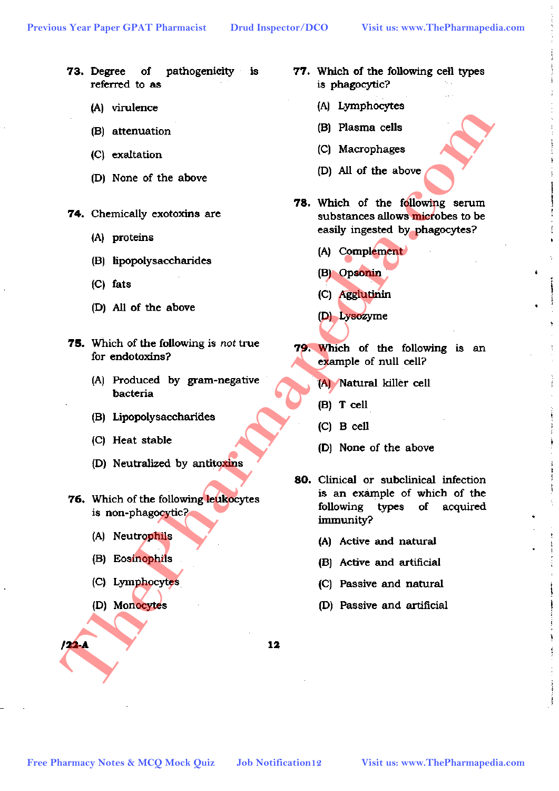- 73. Degree  $of$ pathogenicity is referred to as
	-
	-
	-
	-
- -
	-
	-
	-
- -
	-
	-
	-
- -
	-
	-
	-

- 77. Which of the following cell types is phagocytic?
	-
	-
	-
	-
- -
	-
	-
	-
- -
	-
	-
	-
- Free Pharmacy Notes & MCQ Mock Quiz**a** *Job* **Notification**<br> **Free Pharmaceus**<br> **Free Pharmaceus Scheming Scheming Scheming Scheming Scheming Scheming Scheming Scheming Scheming Scheming Scheming Scheming C and the following** 
	-
	-
	-
	-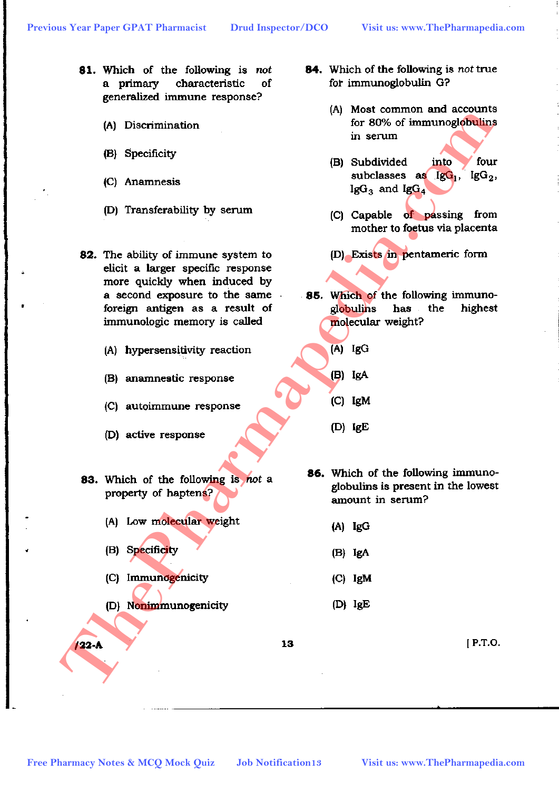- 81. Which of the following is not a primary characteristic of generalized immune response?
	-
	-
	-
	-
- **Free Pharmacy Notes & MCQ Mock Quiz Job Notification 3**<br> **Free Pharmaceus Free Pharmaceus and CO** Capable of **McG<sub>C</sub>**, 180<sub>2</sub>, 180<sub>2</sub>, 1803, 1804, 180<sub>2</sub>, 1804, 180<sub>2</sub>, 1804, 180<sub>2</sub>, 1804, 1804, 1804, 1804, 1804, 1804
	-
	-
	-
	-
	- -
		-
		-
		-
- 84. Which of the following is not true for immunoglobulin G?
	-
	-
	-
	-
- -
	-
	-
	-
- -
	-
	-
	-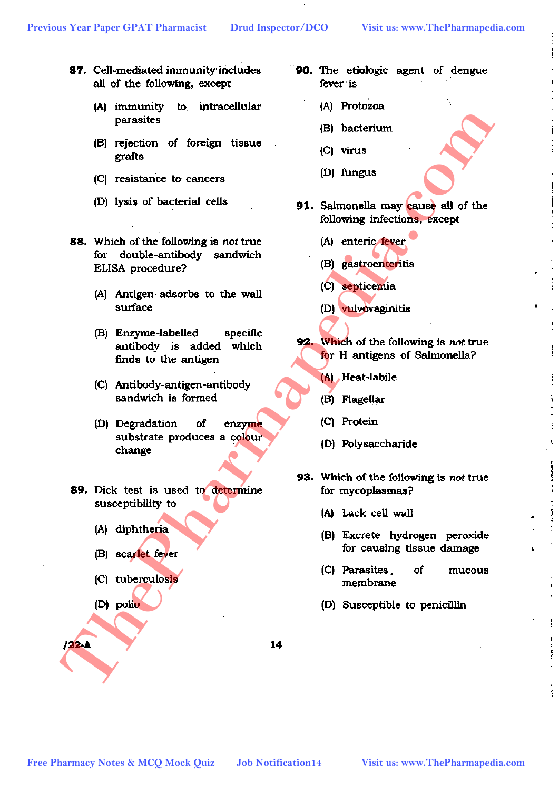- 87. Cell-mediated immunity includes all of the following, except
	-
	-
	-
	-
- **FR** (C) contents and the following is not the material (C) interest of the following the street of the following interior of the following interior and the following interior of the following and the following and the fol
	-
	-
	-
	-
	- -
		-
		-
		-

- 90. The etiologic agent of dengue fever is
	-
	-
	-
	-
- -
	-
	-
	-
- -
	-
	-
	-
- -
	-
	-
	-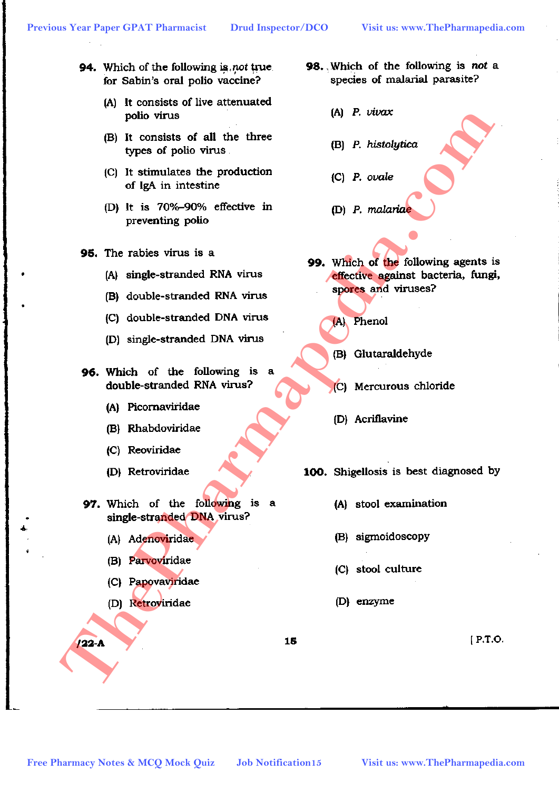- 94. Which of the following is not true. for Sabin's oral polio vaccine?
	- (A) It consists of live attenuated
	-
	-
	-
- -
	-
	-
	-
- -
	-
	-
	-
- -
	-
	-
	-
- 98. Which of the following is not a species of malarial parasite?
	-
	-
	-
	-
- **Free Pharmacy Notes & MCQ Mock Quiz Job Notification 3**<br> **Free Pharmace Society effective in the production**<br> **CP It is 70%-SON's effective in CP P. orale**<br> **CP It is 70%-SON's effective in Premier by the Society of the** 
	-
	-
	-
	-
	- -
		-
		-
		-